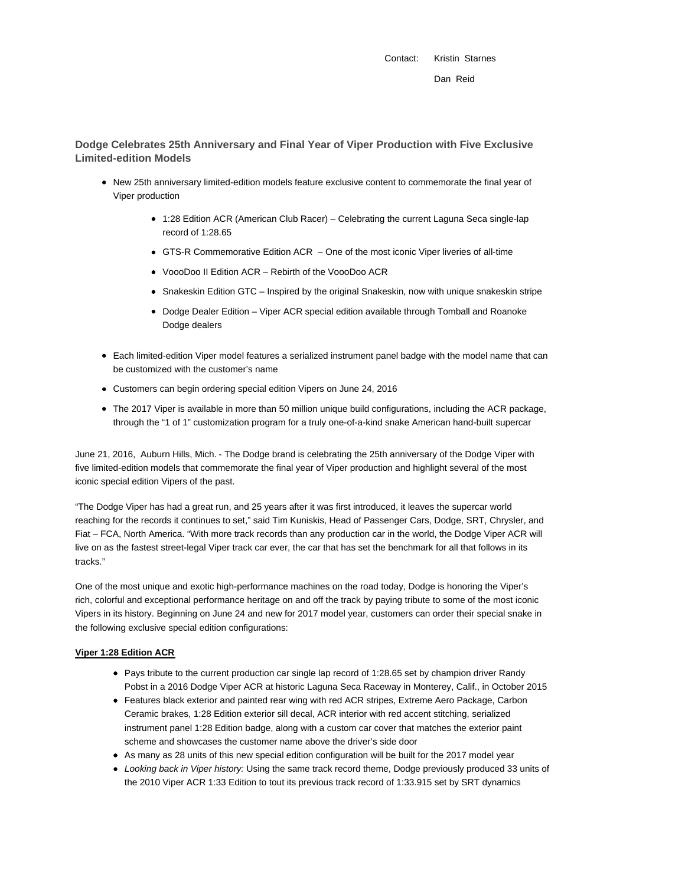Contact: Kristin Starnes Dan Reid

**Dodge Celebrates 25th Anniversary and Final Year of Viper Production with Five Exclusive Limited-edition Models**

- New 25th anniversary limited-edition models feature exclusive content to commemorate the final year of Viper production
	- 1:28 Edition ACR (American Club Racer) Celebrating the current Laguna Seca single-lap record of 1:28.65
	- GTS-R Commemorative Edition ACR One of the most iconic Viper liveries of all-time
	- VoooDoo II Edition ACR Rebirth of the VoooDoo ACR
	- Snakeskin Edition GTC Inspired by the original Snakeskin, now with unique snakeskin stripe
	- Dodge Dealer Edition Viper ACR special edition available through Tomball and Roanoke Dodge dealers
- Each limited-edition Viper model features a serialized instrument panel badge with the model name that can be customized with the customer's name
- Customers can begin ordering special edition Vipers on June 24, 2016
- The 2017 Viper is available in more than 50 million unique build configurations, including the ACR package, through the "1 of 1" customization program for a truly one-of-a-kind snake American hand-built supercar

June 21, 2016, Auburn Hills, Mich. - The Dodge brand is celebrating the 25th anniversary of the Dodge Viper with five limited-edition models that commemorate the final year of Viper production and highlight several of the most iconic special edition Vipers of the past.

"The Dodge Viper has had a great run, and 25 years after it was first introduced, it leaves the supercar world reaching for the records it continues to set," said Tim Kuniskis, Head of Passenger Cars, Dodge, SRT, Chrysler, and Fiat – FCA, North America. "With more track records than any production car in the world, the Dodge Viper ACR will live on as the fastest street-legal Viper track car ever, the car that has set the benchmark for all that follows in its tracks."

One of the most unique and exotic high-performance machines on the road today, Dodge is honoring the Viper's rich, colorful and exceptional performance heritage on and off the track by paying tribute to some of the most iconic Vipers in its history. Beginning on June 24 and new for 2017 model year, customers can order their special snake in the following exclusive special edition configurations:

#### **Viper 1:28 Edition ACR**

- Pays tribute to the current production car single lap record of 1:28.65 set by champion driver Randy Pobst in a 2016 Dodge Viper ACR at historic Laguna Seca Raceway in Monterey, Calif., in October 2015
- Features black exterior and painted rear wing with red ACR stripes, Extreme Aero Package, Carbon Ceramic brakes, 1:28 Edition exterior sill decal, ACR interior with red accent stitching, serialized instrument panel 1:28 Edition badge, along with a custom car cover that matches the exterior paint scheme and showcases the customer name above the driver's side door
- As many as 28 units of this new special edition configuration will be built for the 2017 model year
- Looking back in Viper history: Using the same track record theme, Dodge previously produced 33 units of the 2010 Viper ACR 1:33 Edition to tout its previous track record of 1:33.915 set by SRT dynamics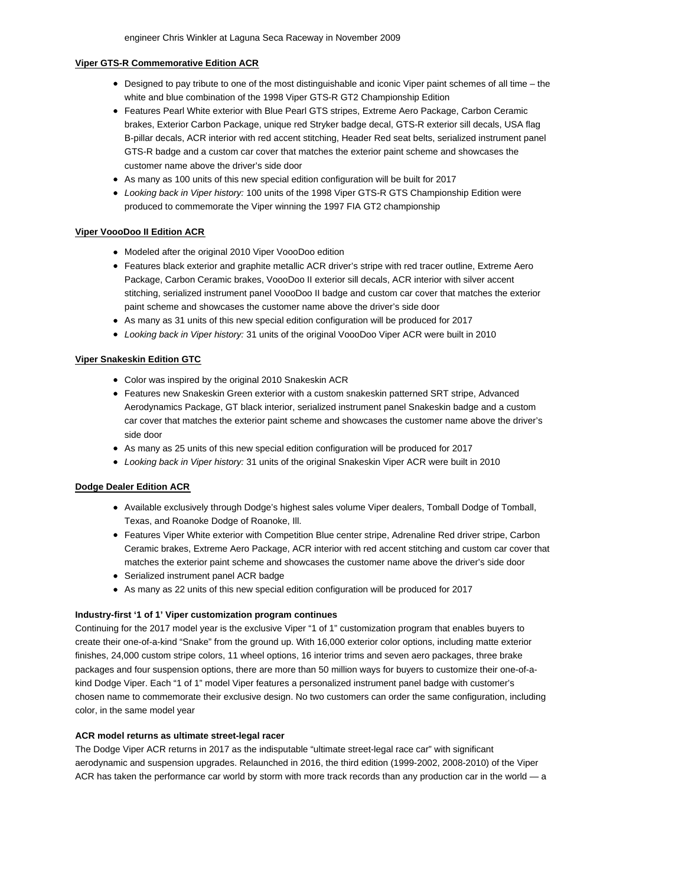### **Viper GTS-R Commemorative Edition ACR**

- Designed to pay tribute to one of the most distinguishable and iconic Viper paint schemes of all time the white and blue combination of the 1998 Viper GTS-R GT2 Championship Edition
- Features Pearl White exterior with Blue Pearl GTS stripes, Extreme Aero Package, Carbon Ceramic brakes, Exterior Carbon Package, unique red Stryker badge decal, GTS-R exterior sill decals, USA flag B-pillar decals, ACR interior with red accent stitching, Header Red seat belts, serialized instrument panel GTS-R badge and a custom car cover that matches the exterior paint scheme and showcases the customer name above the driver's side door
- As many as 100 units of this new special edition configuration will be built for 2017
- Looking back in Viper history: 100 units of the 1998 Viper GTS-R GTS Championship Edition were produced to commemorate the Viper winning the 1997 FIA GT2 championship

### **Viper VoooDoo II Edition ACR**

- Modeled after the original 2010 Viper VoooDoo edition
- Features black exterior and graphite metallic ACR driver's stripe with red tracer outline, Extreme Aero Package, Carbon Ceramic brakes, VoooDoo II exterior sill decals, ACR interior with silver accent stitching, serialized instrument panel VoooDoo II badge and custom car cover that matches the exterior paint scheme and showcases the customer name above the driver's side door
- As many as 31 units of this new special edition configuration will be produced for 2017
- Looking back in Viper history: 31 units of the original VoooDoo Viper ACR were built in 2010

# **Viper Snakeskin Edition GTC**

- Color was inspired by the original 2010 Snakeskin ACR
- Features new Snakeskin Green exterior with a custom snakeskin patterned SRT stripe, Advanced Aerodynamics Package, GT black interior, serialized instrument panel Snakeskin badge and a custom car cover that matches the exterior paint scheme and showcases the customer name above the driver's side door
- As many as 25 units of this new special edition configuration will be produced for 2017
- Looking back in Viper history: 31 units of the original Snakeskin Viper ACR were built in 2010

# **Dodge Dealer Edition ACR**

- Available exclusively through Dodge's highest sales volume Viper dealers, Tomball Dodge of Tomball, Texas, and Roanoke Dodge of Roanoke, Ill.
- Features Viper White exterior with Competition Blue center stripe, Adrenaline Red driver stripe, Carbon Ceramic brakes, Extreme Aero Package, ACR interior with red accent stitching and custom car cover that matches the exterior paint scheme and showcases the customer name above the driver's side door
- Serialized instrument panel ACR badge
- As many as 22 units of this new special edition configuration will be produced for 2017

# **Industry-first '1 of 1' Viper customization program continues**

Continuing for the 2017 model year is the exclusive Viper "1 of 1" customization program that enables buyers to create their one-of-a-kind "Snake" from the ground up. With 16,000 exterior color options, including matte exterior finishes, 24,000 custom stripe colors, 11 wheel options, 16 interior trims and seven aero packages, three brake packages and four suspension options, there are more than 50 million ways for buyers to customize their one-of-akind Dodge Viper. Each "1 of 1" model Viper features a personalized instrument panel badge with customer's chosen name to commemorate their exclusive design. No two customers can order the same configuration, including color, in the same model year

# **ACR model returns as ultimate street-legal racer**

The Dodge Viper ACR returns in 2017 as the indisputable "ultimate street-legal race car" with significant aerodynamic and suspension upgrades. Relaunched in 2016, the third edition (1999-2002, 2008-2010) of the Viper ACR has taken the performance car world by storm with more track records than any production car in the world — a